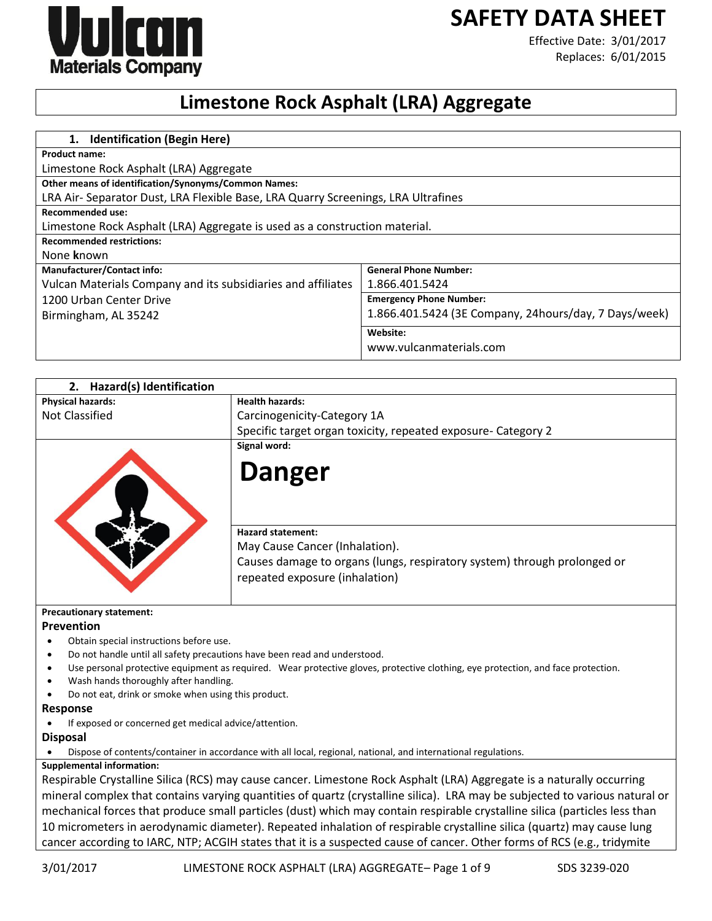

**SAFETY DATA SHEET**

Effective Date: 3/01/2017 Replaces: 6/01/2015

# **Limestone Rock Asphalt (LRA) Aggregate**

| 1. Identification (Begin Here)                                                    |                                                       |
|-----------------------------------------------------------------------------------|-------------------------------------------------------|
| <b>Product name:</b>                                                              |                                                       |
| Limestone Rock Asphalt (LRA) Aggregate                                            |                                                       |
| <b>Other means of identification/Synonyms/Common Names:</b>                       |                                                       |
| LRA Air- Separator Dust, LRA Flexible Base, LRA Quarry Screenings, LRA Ultrafines |                                                       |
| <b>Recommended use:</b>                                                           |                                                       |
| Limestone Rock Asphalt (LRA) Aggregate is used as a construction material.        |                                                       |
| <b>Recommended restrictions:</b>                                                  |                                                       |
| None known                                                                        |                                                       |
| <b>Manufacturer/Contact info:</b>                                                 | <b>General Phone Number:</b>                          |
| Vulcan Materials Company and its subsidiaries and affiliates                      | 1.866.401.5424                                        |
| 1200 Urban Center Drive                                                           | <b>Emergency Phone Number:</b>                        |
| Birmingham, AL 35242                                                              | 1.866.401.5424 (3E Company, 24hours/day, 7 Days/week) |
|                                                                                   | Website:                                              |
|                                                                                   | www.vulcanmaterials.com                               |

| Hazard(s) Identification<br>2.                                                         |                                                                                                                                  |
|----------------------------------------------------------------------------------------|----------------------------------------------------------------------------------------------------------------------------------|
| <b>Physical hazards:</b>                                                               | <b>Health hazards:</b>                                                                                                           |
| <b>Not Classified</b>                                                                  | Carcinogenicity-Category 1A                                                                                                      |
|                                                                                        | Specific target organ toxicity, repeated exposure- Category 2                                                                    |
|                                                                                        | Signal word:                                                                                                                     |
|                                                                                        | <b>Danger</b>                                                                                                                    |
|                                                                                        | <b>Hazard statement:</b>                                                                                                         |
|                                                                                        | May Cause Cancer (Inhalation).                                                                                                   |
|                                                                                        | Causes damage to organs (lungs, respiratory system) through prolonged or                                                         |
|                                                                                        | repeated exposure (inhalation)                                                                                                   |
|                                                                                        |                                                                                                                                  |
| <b>Precautionary statement:</b>                                                        |                                                                                                                                  |
| Prevention                                                                             |                                                                                                                                  |
| Obtain special instructions before use.                                                |                                                                                                                                  |
| Do not handle until all safety precautions have been read and understood.<br>$\bullet$ |                                                                                                                                  |
| $\bullet$                                                                              | Use personal protective equipment as required. Wear protective gloves, protective clothing, eye protection, and face protection. |
| Wash hands thoroughly after handling.                                                  |                                                                                                                                  |
| Do not eat, drink or smoke when using this product.                                    |                                                                                                                                  |
| <b>Response</b>                                                                        |                                                                                                                                  |
| If exposed or concerned get medical advice/attention.                                  |                                                                                                                                  |
| <b>Disposal</b>                                                                        |                                                                                                                                  |
|                                                                                        | Dispose of contents/container in accordance with all local, regional, national, and international regulations.                   |
| <b>Supplemental information:</b>                                                       |                                                                                                                                  |
|                                                                                        | Respirable Crystalline Silica (RCS) may cause cancer. Limestone Rock Asphalt (LRA) Aggregate is a naturally occurring            |
|                                                                                        | mineral complex that contains varying quantities of quartz (crystalline silica). LRA may be subjected to various natural or      |
|                                                                                        | mechanical forces that produce small particles (dust) which may contain respirable crystalline silica (particles less than       |
|                                                                                        | 10 micrometers in aerodynamic diameter). Repeated inhalation of respirable crystalline silica (quartz) may cause lung            |
|                                                                                        | cancer according to IARC, NTP; ACGIH states that it is a suspected cause of cancer. Other forms of RCS (e.g., tridymite          |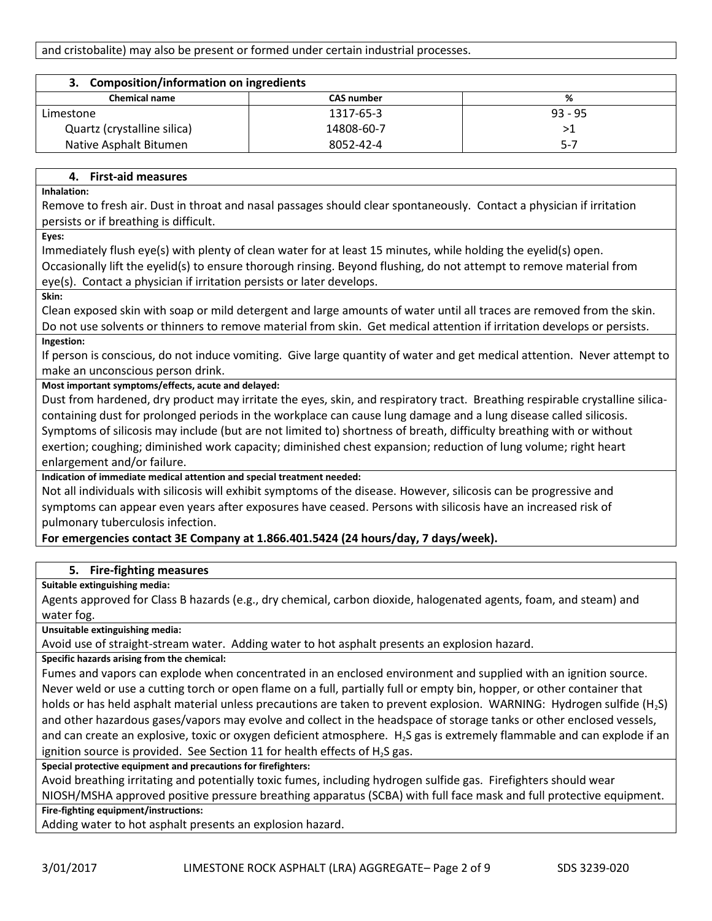| <b>Composition/information on ingredients</b><br>З. |                   |           |
|-----------------------------------------------------|-------------------|-----------|
| <b>Chemical name</b>                                | <b>CAS number</b> | %         |
| Limestone                                           | 1317-65-3         | $93 - 95$ |
| Quartz (crystalline silica)                         | 14808-60-7        | >1        |
| Native Asphalt Bitumen                              | 8052-42-4         | $5-7$     |

# **4. First-aid measures**

**Inhalation:** 

Remove to fresh air. Dust in throat and nasal passages should clear spontaneously. Contact a physician if irritation persists or if breathing is difficult.

**Eyes:** 

Immediately flush eye(s) with plenty of clean water for at least 15 minutes, while holding the eyelid(s) open. Occasionally lift the eyelid(s) to ensure thorough rinsing. Beyond flushing, do not attempt to remove material from eye(s). Contact a physician if irritation persists or later develops.

**Skin:** 

Clean exposed skin with soap or mild detergent and large amounts of water until all traces are removed from the skin. Do not use solvents or thinners to remove material from skin. Get medical attention if irritation develops or persists. **Ingestion:** 

If person is conscious, do not induce vomiting. Give large quantity of water and get medical attention. Never attempt to make an unconscious person drink.

## **Most important symptoms/effects, acute and delayed:**

Dust from hardened, dry product may irritate the eyes, skin, and respiratory tract. Breathing respirable crystalline silicacontaining dust for prolonged periods in the workplace can cause lung damage and a lung disease called silicosis. Symptoms of silicosis may include (but are not limited to) shortness of breath, difficulty breathing with or without exertion; coughing; diminished work capacity; diminished chest expansion; reduction of lung volume; right heart enlargement and/or failure.

**Indication of immediate medical attention and special treatment needed:**

Not all individuals with silicosis will exhibit symptoms of the disease. However, silicosis can be progressive and symptoms can appear even years after exposures have ceased. Persons with silicosis have an increased risk of pulmonary tuberculosis infection.

# **For emergencies contact 3E Company at 1.866.401.5424 (24 hours/day, 7 days/week).**

# **5. Fire-fighting measures**

**Suitable extinguishing media:**

Agents approved for Class B hazards (e.g., dry chemical, carbon dioxide, halogenated agents, foam, and steam) and water fog.

**Unsuitable extinguishing media:**

Avoid use of straight-stream water. Adding water to hot asphalt presents an explosion hazard.

**Specific hazards arising from the chemical:**

Fumes and vapors can explode when concentrated in an enclosed environment and supplied with an ignition source. Never weld or use a cutting torch or open flame on a full, partially full or empty bin, hopper, or other container that holds or has held asphalt material unless precautions are taken to prevent explosion. WARNING: Hydrogen sulfide (H<sub>2</sub>S) and other hazardous gases/vapors may evolve and collect in the headspace of storage tanks or other enclosed vessels, and can create an explosive, toxic or oxygen deficient atmosphere. H<sub>2</sub>S gas is extremely flammable and can explode if an ignition source is provided. See Section 11 for health effects of  $H_2S$  gas.

**Special protective equipment and precautions for firefighters:**

Avoid breathing irritating and potentially toxic fumes, including hydrogen sulfide gas. Firefighters should wear NIOSH/MSHA approved positive pressure breathing apparatus (SCBA) with full face mask and full protective equipment.

**Fire-fighting equipment/instructions:**

Adding water to hot asphalt presents an explosion hazard.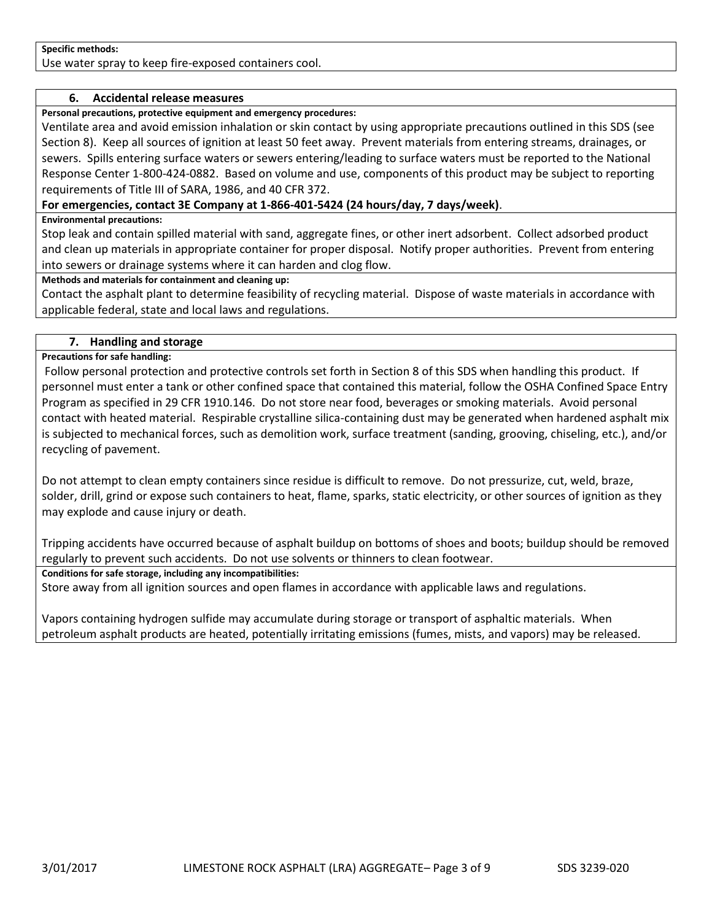#### **Specific methods:**

Use water spray to keep fire-exposed containers cool.

#### **6. Accidental release measures**

**Personal precautions, protective equipment and emergency procedures:**

Ventilate area and avoid emission inhalation or skin contact by using appropriate precautions outlined in this SDS (see Section 8). Keep all sources of ignition at least 50 feet away. Prevent materials from entering streams, drainages, or sewers. Spills entering surface waters or sewers entering/leading to surface waters must be reported to the National Response Center 1-800-424-0882. Based on volume and use, components of this product may be subject to reporting requirements of Title III of SARA, 1986, and 40 CFR 372.

## **For emergencies, contact 3E Company at 1-866-401-5424 (24 hours/day, 7 days/week)**.

#### **Environmental precautions:**

Stop leak and contain spilled material with sand, aggregate fines, or other inert adsorbent. Collect adsorbed product and clean up materials in appropriate container for proper disposal. Notify proper authorities. Prevent from entering into sewers or drainage systems where it can harden and clog flow.

#### **Methods and materials for containment and cleaning up:**

Contact the asphalt plant to determine feasibility of recycling material. Dispose of waste materials in accordance with applicable federal, state and local laws and regulations.

#### **7. Handling and storage**

#### **Precautions for safe handling:**

Follow personal protection and protective controls set forth in Section 8 of this SDS when handling this product. If personnel must enter a tank or other confined space that contained this material, follow the OSHA Confined Space Entry Program as specified in 29 CFR 1910.146. Do not store near food, beverages or smoking materials. Avoid personal contact with heated material. Respirable crystalline silica-containing dust may be generated when hardened asphalt mix is subjected to mechanical forces, such as demolition work, surface treatment (sanding, grooving, chiseling, etc.), and/or recycling of pavement.

Do not attempt to clean empty containers since residue is difficult to remove. Do not pressurize, cut, weld, braze, solder, drill, grind or expose such containers to heat, flame, sparks, static electricity, or other sources of ignition as they may explode and cause injury or death.

Tripping accidents have occurred because of asphalt buildup on bottoms of shoes and boots; buildup should be removed regularly to prevent such accidents. Do not use solvents or thinners to clean footwear.

#### **Conditions for safe storage, including any incompatibilities:**

Store away from all ignition sources and open flames in accordance with applicable laws and regulations.

Vapors containing hydrogen sulfide may accumulate during storage or transport of asphaltic materials. When petroleum asphalt products are heated, potentially irritating emissions (fumes, mists, and vapors) may be released.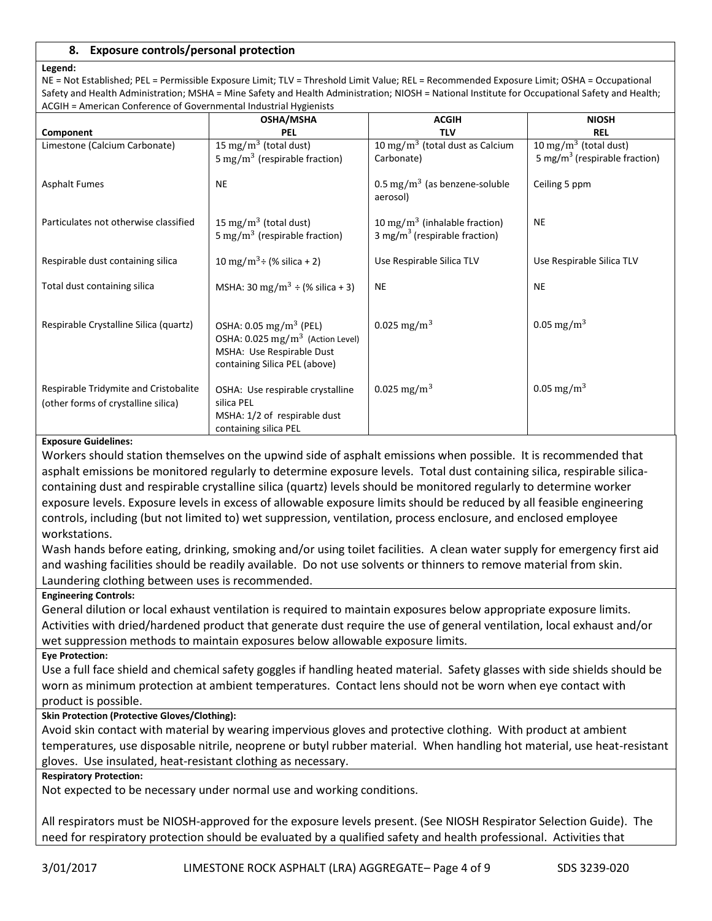## **8. Exposure controls/personal protection**

#### **Legend:**

NE = Not Established; PEL = Permissible Exposure Limit; TLV = Threshold Limit Value; REL = Recommended Exposure Limit; OSHA = Occupational Safety and Health Administration; MSHA = Mine Safety and Health Administration; NIOSH = National Institute for Occupational Safety and Health; ACGIH = American Conference of Governmental Industrial Hygienists

| <b>Allencan Comerchied or Covernmental maastriari rygichists</b>             | <b>OSHA/MSHA</b>                                                                                                                                | <b>ACGIH</b>                                                                           | <b>NIOSH</b>                              |
|------------------------------------------------------------------------------|-------------------------------------------------------------------------------------------------------------------------------------------------|----------------------------------------------------------------------------------------|-------------------------------------------|
| Component                                                                    | PEL                                                                                                                                             | <b>TLV</b>                                                                             | <b>REL</b>                                |
| Limestone (Calcium Carbonate)                                                | $\overline{15 \text{ mg}}/\text{m}^3$ (total dust)                                                                                              | 10 mg/m <sup>3</sup> (total dust as Calcium                                            | 10 mg/m $3$ (total dust)                  |
|                                                                              | 5 mg/m <sup>3</sup> (respirable fraction)                                                                                                       | Carbonate)                                                                             | 5 mg/m <sup>3</sup> (respirable fraction) |
| <b>Asphalt Fumes</b>                                                         | <b>NE</b>                                                                                                                                       | $0.5 \,\mathrm{mg/m^3}$ (as benzene-soluble<br>aerosol)                                | Ceiling 5 ppm                             |
| Particulates not otherwise classified                                        | 15 mg/m <sup>3</sup> (total dust)<br>5 mg/m <sup>3</sup> (respirable fraction)                                                                  | 10 mg/m <sup>3</sup> (inhalable fraction)<br>3 mg/m <sup>3</sup> (respirable fraction) | <b>NE</b>                                 |
| Respirable dust containing silica                                            | 10 mg/m <sup>3</sup> ÷ (% silica + 2)                                                                                                           | Use Respirable Silica TLV                                                              | Use Respirable Silica TLV                 |
| Total dust containing silica                                                 | MSHA: 30 mg/m <sup>3</sup> $\div$ (% silica + 3)                                                                                                | <b>NE</b>                                                                              | <b>NE</b>                                 |
| Respirable Crystalline Silica (quartz)                                       | OSHA: $0.05 \text{ mg/m}^3$ (PEL)<br>OSHA: 0.025 mg/m <sup>3</sup> (Action Level)<br>MSHA: Use Respirable Dust<br>containing Silica PEL (above) | 0.025 mg/m <sup>3</sup>                                                                | 0.05 mg/m <sup>3</sup>                    |
| Respirable Tridymite and Cristobalite<br>(other forms of crystalline silica) | OSHA: Use respirable crystalline<br>silica PEL<br>MSHA: 1/2 of respirable dust<br>containing silica PEL                                         | 0.025 mg/m <sup>3</sup>                                                                | 0.05 mg/m <sup>3</sup>                    |

#### **Exposure Guidelines:**

Workers should station themselves on the upwind side of asphalt emissions when possible. It is recommended that asphalt emissions be monitored regularly to determine exposure levels. Total dust containing silica, respirable silicacontaining dust and respirable crystalline silica (quartz) levels should be monitored regularly to determine worker exposure levels. Exposure levels in excess of allowable exposure limits should be reduced by all feasible engineering controls, including (but not limited to) wet suppression, ventilation, process enclosure, and enclosed employee workstations.

Wash hands before eating, drinking, smoking and/or using toilet facilities. A clean water supply for emergency first aid and washing facilities should be readily available. Do not use solvents or thinners to remove material from skin. Laundering clothing between uses is recommended.

## **Engineering Controls:**

General dilution or local exhaust ventilation is required to maintain exposures below appropriate exposure limits. Activities with dried/hardened product that generate dust require the use of general ventilation, local exhaust and/or wet suppression methods to maintain exposures below allowable exposure limits.

#### **Eye Protection:**

Use a full face shield and chemical safety goggles if handling heated material. Safety glasses with side shields should be worn as minimum protection at ambient temperatures. Contact lens should not be worn when eye contact with product is possible.

## **Skin Protection (Protective Gloves/Clothing):**

Avoid skin contact with material by wearing impervious gloves and protective clothing. With product at ambient temperatures, use disposable nitrile, neoprene or butyl rubber material. When handling hot material, use heat-resistant gloves. Use insulated, heat-resistant clothing as necessary.

#### **Respiratory Protection:**

Not expected to be necessary under normal use and working conditions.

All respirators must be NIOSH-approved for the exposure levels present. (See NIOSH Respirator Selection Guide). The need for respiratory protection should be evaluated by a qualified safety and health professional. Activities that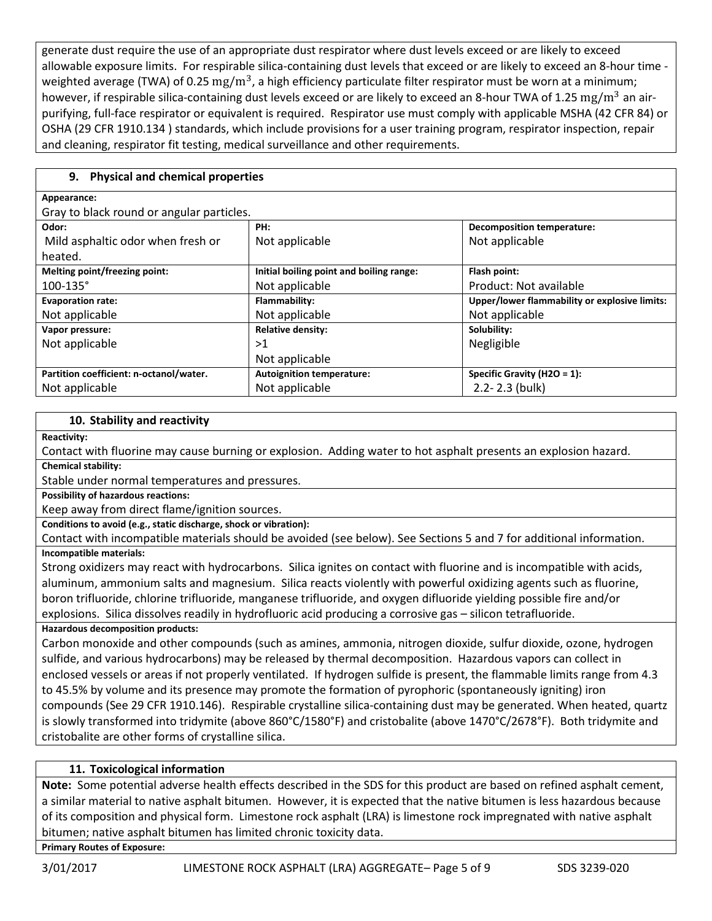generate dust require the use of an appropriate dust respirator where dust levels exceed or are likely to exceed allowable exposure limits. For respirable silica-containing dust levels that exceed or are likely to exceed an 8-hour time weighted average (TWA) of 0.25  $\rm mg/m^3$ , a high efficiency particulate filter respirator must be worn at a minimum; however, if respirable silica-containing dust levels exceed or are likely to exceed an 8-hour TWA of 1.25  $mg/m^3$  an airpurifying, full-face respirator or equivalent is required. Respirator use must comply with applicable MSHA (42 CFR 84) or OSHA (29 CFR 1910.134 ) standards, which include provisions for a user training program, respirator inspection, repair and cleaning, respirator fit testing, medical surveillance and other requirements.

# **9. Physical and chemical properties**

## **Appearance:**

Gray to black round or angular particles.

| Oray to black round or angular particles. |                                          |                                               |
|-------------------------------------------|------------------------------------------|-----------------------------------------------|
| Odor:                                     | PH:                                      | <b>Decomposition temperature:</b>             |
| Mild asphaltic odor when fresh or         | Not applicable                           | Not applicable                                |
| heated.                                   |                                          |                                               |
| Melting point/freezing point:             | Initial boiling point and boiling range: | Flash point:                                  |
| $100 - 135$ °                             | Not applicable                           | Product: Not available                        |
| <b>Evaporation rate:</b>                  | Flammability:                            | Upper/lower flammability or explosive limits: |
| Not applicable                            | Not applicable                           | Not applicable                                |
| Vapor pressure:                           | <b>Relative density:</b>                 | Solubility:                                   |
| Not applicable                            | >1                                       | Negligible                                    |
|                                           | Not applicable                           |                                               |
| Partition coefficient: n-octanol/water.   | <b>Autoignition temperature:</b>         | Specific Gravity (H2O = 1):                   |
| Not applicable                            | Not applicable                           | $2.2 - 2.3$ (bulk)                            |
|                                           |                                          |                                               |

# **10. Stability and reactivity**

**Reactivity:**

Contact with fluorine may cause burning or explosion. Adding water to hot asphalt presents an explosion hazard. **Chemical stability:**

Stable under normal temperatures and pressures.

**Possibility of hazardous reactions:** 

Keep away from direct flame/ignition sources.

**Conditions to avoid (e.g., static discharge, shock or vibration):**

Contact with incompatible materials should be avoided (see below). See Sections 5 and 7 for additional information. **Incompatible materials:**

Strong oxidizers may react with hydrocarbons. Silica ignites on contact with fluorine and is incompatible with acids, aluminum, ammonium salts and magnesium. Silica reacts violently with powerful oxidizing agents such as fluorine, boron trifluoride, chlorine trifluoride, manganese trifluoride, and oxygen difluoride yielding possible fire and/or explosions. Silica dissolves readily in hydrofluoric acid producing a corrosive gas – silicon tetrafluoride.

# **Hazardous decomposition products:**

Carbon monoxide and other compounds (such as amines, ammonia, nitrogen dioxide, sulfur dioxide, ozone, hydrogen sulfide, and various hydrocarbons) may be released by thermal decomposition. Hazardous vapors can collect in enclosed vessels or areas if not properly ventilated. If hydrogen sulfide is present, the flammable limits range from 4.3 to 45.5% by volume and its presence may promote the formation of pyrophoric (spontaneously igniting) iron compounds (See 29 CFR 1910.146). Respirable crystalline silica-containing dust may be generated. When heated, quartz is slowly transformed into tridymite (above 860°C/1580°F) and cristobalite (above 1470°C/2678°F). Both tridymite and cristobalite are other forms of crystalline silica.

# **11. Toxicological information**

**Note:** Some potential adverse health effects described in the SDS for this product are based on refined asphalt cement, a similar material to native asphalt bitumen. However, it is expected that the native bitumen is less hazardous because of its composition and physical form. Limestone rock asphalt (LRA) is limestone rock impregnated with native asphalt bitumen; native asphalt bitumen has limited chronic toxicity data.

**Primary Routes of Exposure:**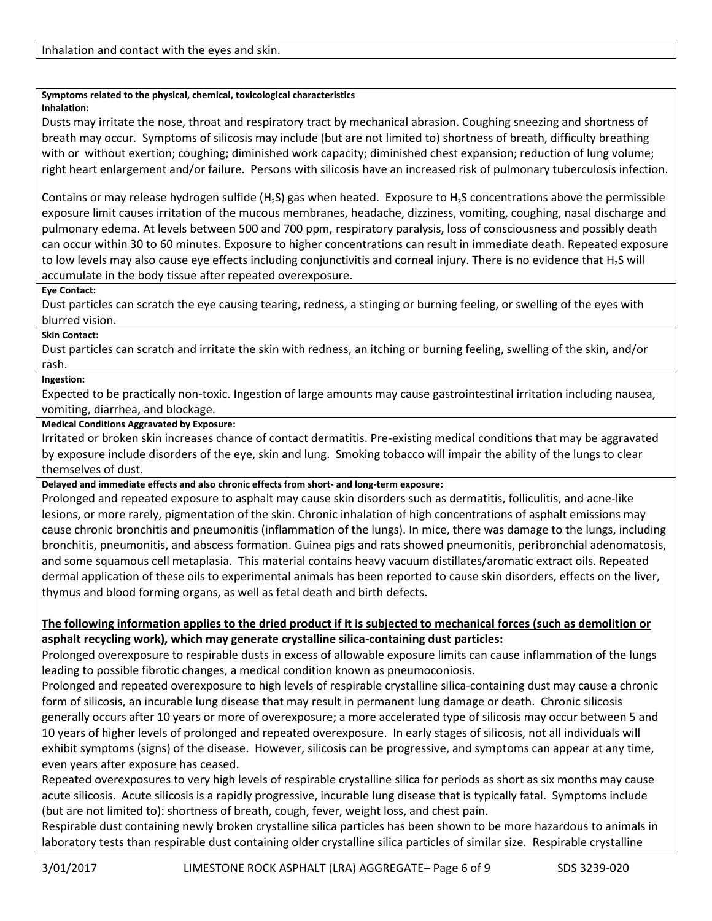## **Symptoms related to the physical, chemical, toxicological characteristics**

#### **Inhalation:**

Dusts may irritate the nose, throat and respiratory tract by mechanical abrasion. Coughing sneezing and shortness of breath may occur. Symptoms of silicosis may include (but are not limited to) shortness of breath, difficulty breathing with or without exertion; coughing; diminished work capacity; diminished chest expansion; reduction of lung volume; right heart enlargement and/or failure. Persons with silicosis have an increased risk of pulmonary tuberculosis infection.

Contains or may release hydrogen sulfide (H<sub>2</sub>S) gas when heated. Exposure to H<sub>2</sub>S concentrations above the permissible exposure limit causes irritation of the mucous membranes, headache, dizziness, vomiting, coughing, nasal discharge and pulmonary edema. At levels between 500 and 700 ppm, respiratory paralysis, loss of consciousness and possibly death can occur within 30 to 60 minutes. Exposure to higher concentrations can result in immediate death. Repeated exposure to low levels may also cause eye effects including conjunctivitis and corneal injury. There is no evidence that  $H_2S$  will accumulate in the body tissue after repeated overexposure.

## **Eye Contact:**

Dust particles can scratch the eye causing tearing, redness, a stinging or burning feeling, or swelling of the eyes with blurred vision.

## **Skin Contact:**

Dust particles can scratch and irritate the skin with redness, an itching or burning feeling, swelling of the skin, and/or rash.

## **Ingestion:**

Expected to be practically non-toxic. Ingestion of large amounts may cause gastrointestinal irritation including nausea, vomiting, diarrhea, and blockage.

#### **Medical Conditions Aggravated by Exposure:**

Irritated or broken skin increases chance of contact dermatitis. Pre-existing medical conditions that may be aggravated by exposure include disorders of the eye, skin and lung. Smoking tobacco will impair the ability of the lungs to clear themselves of dust.

## **Delayed and immediate effects and also chronic effects from short- and long-term exposure:**

Prolonged and repeated exposure to asphalt may cause skin disorders such as dermatitis, folliculitis, and acne-like lesions, or more rarely, pigmentation of the skin. Chronic inhalation of high concentrations of asphalt emissions may cause chronic bronchitis and pneumonitis (inflammation of the lungs). In mice, there was damage to the lungs, including bronchitis, pneumonitis, and abscess formation. Guinea pigs and rats showed pneumonitis, peribronchial adenomatosis, and some squamous cell metaplasia. This material contains heavy vacuum distillates/aromatic extract oils. Repeated dermal application of these oils to experimental animals has been reported to cause skin disorders, effects on the liver, thymus and blood forming organs, as well as fetal death and birth defects.

# **The following information applies to the dried product if it is subjected to mechanical forces (such as demolition or asphalt recycling work), which may generate crystalline silica-containing dust particles:**

Prolonged overexposure to respirable dusts in excess of allowable exposure limits can cause inflammation of the lungs leading to possible fibrotic changes, a medical condition known as pneumoconiosis.

Prolonged and repeated overexposure to high levels of respirable crystalline silica-containing dust may cause a chronic form of silicosis, an incurable lung disease that may result in permanent lung damage or death. Chronic silicosis generally occurs after 10 years or more of overexposure; a more accelerated type of silicosis may occur between 5 and 10 years of higher levels of prolonged and repeated overexposure. In early stages of silicosis, not all individuals will exhibit symptoms (signs) of the disease. However, silicosis can be progressive, and symptoms can appear at any time, even years after exposure has ceased.

Repeated overexposures to very high levels of respirable crystalline silica for periods as short as six months may cause acute silicosis. Acute silicosis is a rapidly progressive, incurable lung disease that is typically fatal. Symptoms include (but are not limited to): shortness of breath, cough, fever, weight loss, and chest pain.

Respirable dust containing newly broken crystalline silica particles has been shown to be more hazardous to animals in laboratory tests than respirable dust containing older crystalline silica particles of similar size. Respirable crystalline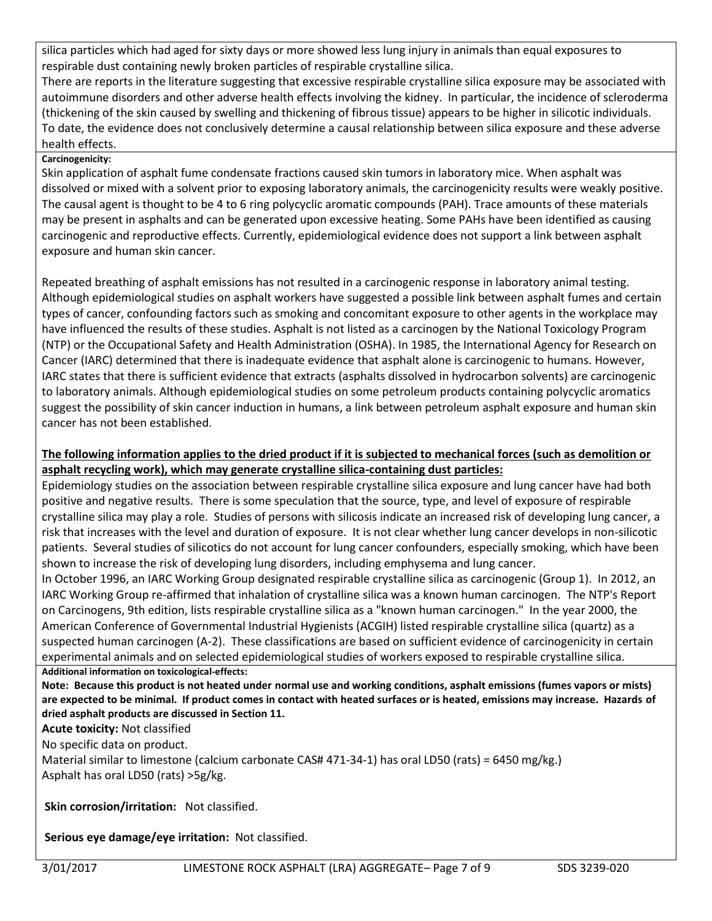silica particles which had aged for sixty days or more showed less lung injury in animals than equal exposures to respirable dust containing newly broken particles of respirable crystalline silica.

There are reports in the literature suggesting that excessive respirable crystalline silica exposure may be associated with autoimmune disorders and other adverse health effects involving the kidney. In particular, the incidence of scleroderma (thickening of the skin caused by swelling and thickening of fibrous tissue) appears to be higher in silicotic individuals. To date, the evidence does not conclusively determine a causal relationship between silica exposure and these adverse health effects.

# **Carcinogenicity:**

Skin application of asphalt fume condensate fractions caused skin tumors in laboratory mice. When asphalt was dissolved or mixed with a solvent prior to exposing laboratory animals, the carcinogenicity results were weakly positive. The causal agent is thought to be 4 to 6 ring polycyclic aromatic compounds (PAH). Trace amounts of these materials may be present in asphalts and can be generated upon excessive heating. Some PAHs have been identified as causing carcinogenic and reproductive effects. Currently, epidemiological evidence does not support a link between asphalt exposure and human skin cancer.

Repeated breathing of asphalt emissions has not resulted in a carcinogenic response in laboratory animal testing. Although epidemiological studies on asphalt workers have suggested a possible link between asphalt fumes and certain types of cancer, confounding factors such as smoking and concomitant exposure to other agents in the workplace may have influenced the results of these studies. Asphalt is not listed as a carcinogen by the National Toxicology Program (NTP) or the Occupational Safety and Health Administration (OSHA). In 1985, the International Agency for Research on Cancer (IARC) determined that there is inadequate evidence that asphalt alone is carcinogenic to humans. However, IARC states that there is sufficient evidence that extracts (asphalts dissolved in hydrocarbon solvents) are carcinogenic to laboratory animals. Although epidemiological studies on some petroleum products containing polycyclic aromatics suggest the possibility of skin cancer induction in humans, a link between petroleum asphalt exposure and human skin cancer has not been established.

# **The following information applies to the dried product if it is subjected to mechanical forces (such as demolition or asphalt recycling work), which may generate crystalline silica-containing dust particles:**

Epidemiology studies on the association between respirable crystalline silica exposure and lung cancer have had both positive and negative results. There is some speculation that the source, type, and level of exposure of respirable crystalline silica may play a role. Studies of persons with silicosis indicate an increased risk of developing lung cancer, a risk that increases with the level and duration of exposure. It is not clear whether lung cancer develops in non-silicotic patients. Several studies of silicotics do not account for lung cancer confounders, especially smoking, which have been shown to increase the risk of developing lung disorders, including emphysema and lung cancer.

In October 1996, an IARC Working Group designated respirable crystalline silica as carcinogenic (Group 1). In 2012, an IARC Working Group re-affirmed that inhalation of crystalline silica was a known human carcinogen. The NTP's Report on Carcinogens, 9th edition, lists respirable crystalline silica as a "known human carcinogen." In the year 2000, the American Conference of Governmental Industrial Hygienists (ACGIH) listed respirable crystalline silica (quartz) as a suspected human carcinogen (A-2). These classifications are based on sufficient evidence of carcinogenicity in certain experimental animals and on selected epidemiological studies of workers exposed to respirable crystalline silica. **Additional information on toxicological-effects:**

**Note: Because this product is not heated under normal use and working conditions, asphalt emissions (fumes vapors or mists) are expected to be minimal. If product comes in contact with heated surfaces or is heated, emissions may increase. Hazards of dried asphalt products are discussed in Section 11.** 

**Acute toxicity:** Not classified

No specific data on product.

Material similar to limestone (calcium carbonate CAS# 471-34-1) has oral LD50 (rats) = 6450 mg/kg.) Asphalt has oral LD50 (rats) >5g/kg.

**Skin corrosion/irritation:** Not classified.

**Serious eye damage/eye irritation:** Not classified.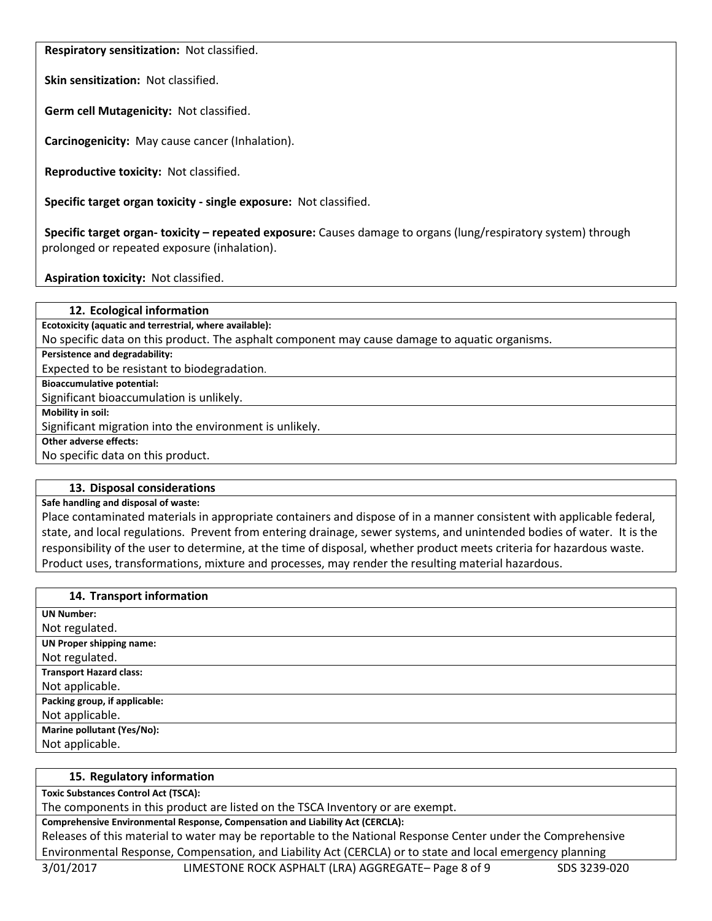**Respiratory sensitization:** Not classified.

**Skin sensitization:** Not classified.

**Germ cell Mutagenicity:** Not classified.

**Carcinogenicity:** May cause cancer (Inhalation).

**Reproductive toxicity:** Not classified.

**Specific target organ toxicity - single exposure:** Not classified.

**Specific target organ- toxicity – repeated exposure:** Causes damage to organs (lung/respiratory system) through prolonged or repeated exposure (inhalation).

**Aspiration toxicity:** Not classified.

| 12. Ecological information                                                                     |
|------------------------------------------------------------------------------------------------|
| Ecotoxicity (aquatic and terrestrial, where available):                                        |
| No specific data on this product. The asphalt component may cause damage to aquatic organisms. |
| Persistence and degradability:                                                                 |
| Expected to be resistant to biodegradation.                                                    |
| <b>Bioaccumulative potential:</b>                                                              |
| Significant bioaccumulation is unlikely.                                                       |
| Mobility in soil:                                                                              |
| Significant migration into the environment is unlikely.                                        |
| Other adverse effects:                                                                         |
| No specific data on this product.                                                              |
|                                                                                                |

## **13. Disposal considerations**

**Safe handling and disposal of waste:**

Place contaminated materials in appropriate containers and dispose of in a manner consistent with applicable federal, state, and local regulations. Prevent from entering drainage, sewer systems, and unintended bodies of water. It is the responsibility of the user to determine, at the time of disposal, whether product meets criteria for hazardous waste. Product uses, transformations, mixture and processes, may render the resulting material hazardous.

## **14. Transport information**

| <b>UN Number:</b>               |
|---------------------------------|
| Not regulated.                  |
| <b>UN Proper shipping name:</b> |
| Not regulated.                  |
| <b>Transport Hazard class:</b>  |
| Not applicable.                 |
| Packing group, if applicable:   |
| Not applicable.                 |
| Marine pollutant (Yes/No):      |
| Not applicable.                 |

## **15. Regulatory information**

**Toxic Substances Control Act (TSCA):**

The components in this product are listed on the TSCA Inventory or are exempt.

**Comprehensive Environmental Response, Compensation and Liability Act (CERCLA):**

Releases of this material to water may be reportable to the National Response Center under the Comprehensive Environmental Response, Compensation, and Liability Act (CERCLA) or to state and local emergency planning